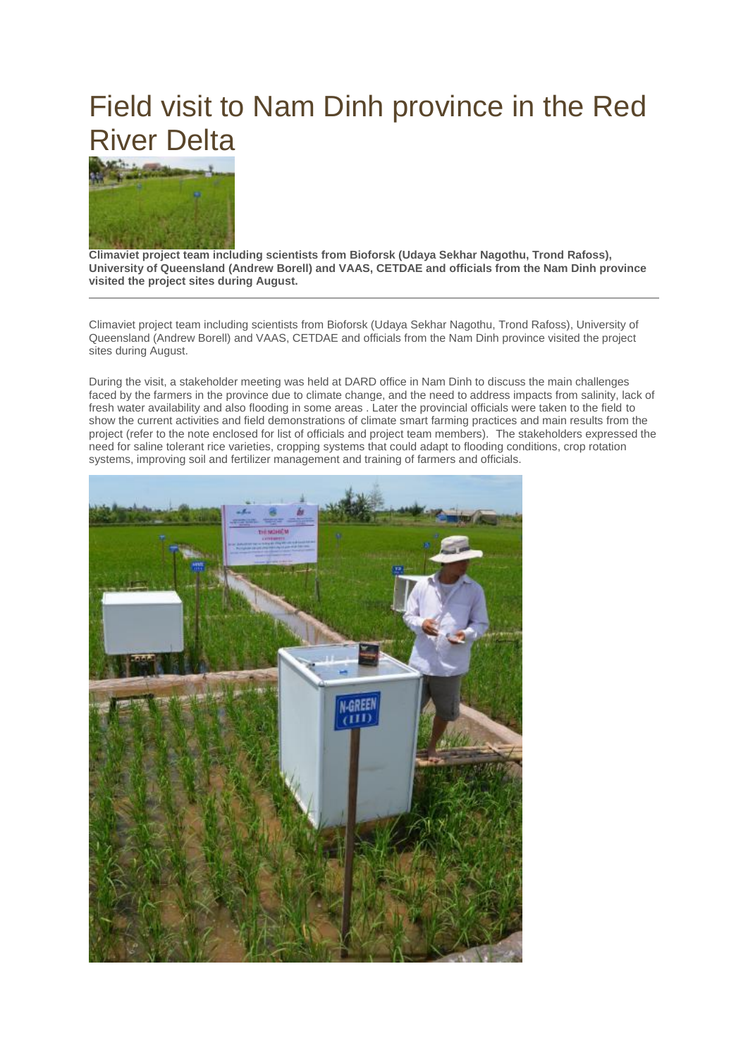## Field visit to Nam Dinh province in the Red River Delta



**Climaviet project team including scientists from Bioforsk (Udaya Sekhar Nagothu, Trond Rafoss), University of Queensland (Andrew Borell) and VAAS, CETDAE and officials from the Nam Dinh province visited the project sites during August.**

Climaviet project team including scientists from Bioforsk (Udaya Sekhar Nagothu, Trond Rafoss), University of Queensland (Andrew Borell) and VAAS, CETDAE and officials from the Nam Dinh province visited the project sites during August.

During the visit, a stakeholder meeting was held at DARD office in Nam Dinh to discuss the main challenges faced by the farmers in the province due to climate change, and the need to address impacts from salinity, lack of fresh water availability and also flooding in some areas . Later the provincial officials were taken to the field to show the current activities and field demonstrations of climate smart farming practices and main results from the project (refer to the note enclosed for list of officials and project team members). The stakeholders expressed the need for saline tolerant rice varieties, cropping systems that could adapt to flooding conditions, crop rotation systems, improving soil and fertilizer management and training of farmers and officials.